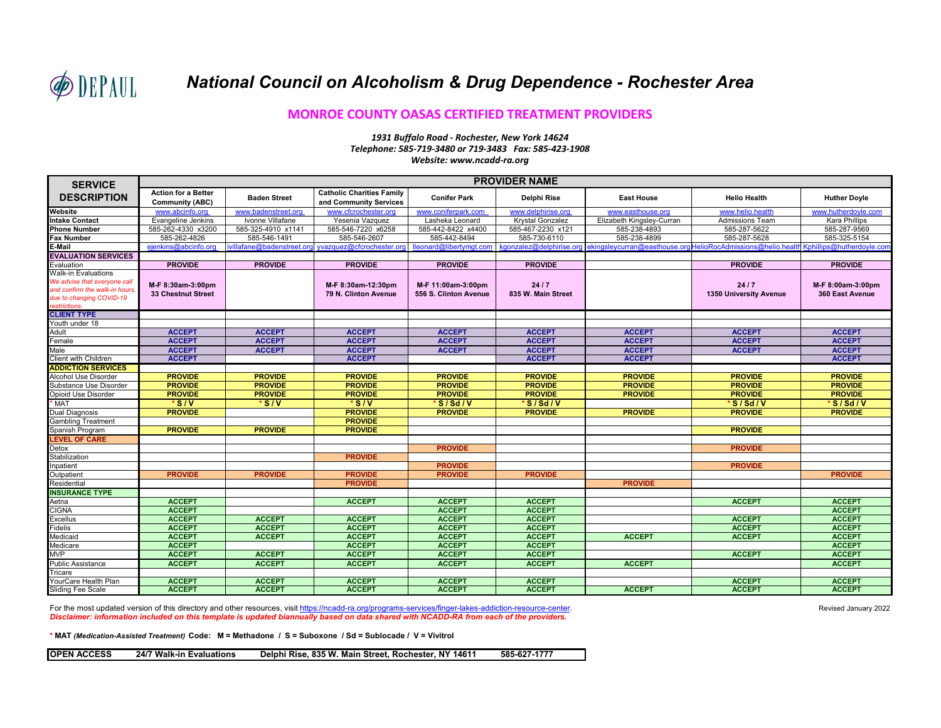

## **MONROE COUNTY OASAS CERTIFIED TREATMENT PROVIDERS**

## *1931 Buffalo Road - Rochester, New York 14624 Telephone: 585-719-3480 or 719-3483 Fax: 585-423-1908 Website: www.ncadd-ra.org*

| <b>SERVICE</b><br><b>DESCRIPTION</b> | <b>PROVIDER NAME</b>                                 |                            |                                                            |                       |                          |                           |                                                             |                           |  |  |
|--------------------------------------|------------------------------------------------------|----------------------------|------------------------------------------------------------|-----------------------|--------------------------|---------------------------|-------------------------------------------------------------|---------------------------|--|--|
|                                      | <b>Action for a Better</b><br><b>Community (ABC)</b> | <b>Baden Street</b>        | <b>Catholic Charities Family</b><br>and Community Services | <b>Conifer Park</b>   | Delphi Rise              | <b>East House</b>         | <b>Helio Health</b>                                         | <b>Huther Doyle</b>       |  |  |
| Website                              | www.abcinfo.org                                      | www.badenstreet.org        | www.cfcrochester.org                                       | www.coniferpark.com   | www.delphirise.org       | www.easthouse.org         | www.helio.health                                            | www.hutherdovle.com       |  |  |
| <b>Intake Contact</b>                | Evangeline Jenkins                                   | Ivonne Villafane           | Yesenia Vazquez                                            | Lasheka Leonard       | Krystal Gonzalez         | Elizabeth Kingsley-Curran | <b>Admissions Team</b>                                      | Kara Phillips             |  |  |
| <b>Phone Number</b>                  | 585-262-4330 x3200                                   | 585-325-4910 x1141         | 585-546-7220 x6258                                         | 585-442-8422 x4400    | 585-467-2230 x121        | 585-238-4893              | 585-287-5622                                                | 585-287-9569              |  |  |
| Fax Number                           | 585-262-4826                                         | 585-546-1491               | 585-546-2607                                               | 585-442-8494          | 585-730-6110             | 585-238-4899              | 585-287-5628                                                | 585-325-5154              |  |  |
| E-Mail                               | ejenkins@abcinfo.org                                 | ivillafane@badenstreet.org | yvazquez@cfcrochester.org lleonard@libertymgt.com          |                       | kgonzalez@delphirise.org |                           | ekingslevcurran@easthouse.orgHelioRocAdmissions@helio.healt | Kphillips@hutherdoyle.com |  |  |
| <b>EVALUATION SERVICES</b>           |                                                      |                            |                                                            |                       |                          |                           |                                                             |                           |  |  |
| Evaluation                           | <b>PROVIDE</b>                                       | <b>PROVIDE</b>             | <b>PROVIDE</b>                                             | <b>PROVIDE</b>        | <b>PROVIDE</b>           |                           | <b>PROVIDE</b>                                              | <b>PROVIDE</b>            |  |  |
| Walk-in Evaluations                  |                                                      |                            |                                                            |                       |                          |                           |                                                             |                           |  |  |
| We advise that everyone call         | M-F 8:30am-3:00pm                                    |                            | M-F 8:30am-12:30pm                                         | M-F 11:00am-3:00pm    | 24/7                     |                           | 24/7                                                        | M-F 8:00am-3:00pm         |  |  |
| and confirm the walk-in hours,       | <b>33 Chestnut Street</b>                            |                            | 79 N. Clinton Avenue                                       | 556 S. Clinton Avenue | 835 W. Main Street       |                           | 1350 University Avenue                                      | 360 East Avenue           |  |  |
| due to changing COVID-19             |                                                      |                            |                                                            |                       |                          |                           |                                                             |                           |  |  |
| estrictions.                         |                                                      |                            |                                                            |                       |                          |                           |                                                             |                           |  |  |
| <b>CLIENT TYPE</b>                   |                                                      |                            |                                                            |                       |                          |                           |                                                             |                           |  |  |
| Youth under 18                       |                                                      |                            |                                                            |                       |                          |                           |                                                             |                           |  |  |
| Adult                                | <b>ACCEPT</b>                                        | <b>ACCEPT</b>              | <b>ACCEPT</b>                                              | <b>ACCEPT</b>         | <b>ACCEPT</b>            | <b>ACCEPT</b>             | <b>ACCEPT</b>                                               | <b>ACCEPT</b>             |  |  |
| Female                               | <b>ACCEPT</b>                                        | <b>ACCEPT</b>              | <b>ACCEPT</b>                                              | <b>ACCEPT</b>         | <b>ACCEPT</b>            | <b>ACCEPT</b>             | <b>ACCEPT</b>                                               | <b>ACCEPT</b>             |  |  |
| Male                                 | <b>ACCEPT</b>                                        | <b>ACCEPT</b>              | <b>ACCEPT</b>                                              | <b>ACCEPT</b>         | <b>ACCEPT</b>            | <b>ACCEPT</b>             | <b>ACCEPT</b>                                               | <b>ACCEPT</b>             |  |  |
| Client with Children                 | <b>ACCEPT</b>                                        |                            | <b>ACCEPT</b>                                              |                       | <b>ACCEPT</b>            | <b>ACCEPT</b>             |                                                             | <b>ACCEPT</b>             |  |  |
| <b>ADDICTION SERVICES</b>            |                                                      |                            |                                                            |                       |                          |                           |                                                             |                           |  |  |
| Alcohol Use Disorder                 | <b>PROVIDE</b>                                       | <b>PROVIDE</b>             | <b>PROVIDE</b>                                             | <b>PROVIDE</b>        | <b>PROVIDE</b>           | <b>PROVIDE</b>            | <b>PROVIDE</b>                                              | <b>PROVIDE</b>            |  |  |
| Substance Use Disorder               | <b>PROVIDE</b>                                       | <b>PROVIDE</b>             | <b>PROVIDE</b>                                             | <b>PROVIDE</b>        | <b>PROVIDE</b>           | <b>PROVIDE</b>            | <b>PROVIDE</b>                                              | <b>PROVIDE</b>            |  |  |
| Opioid Use Disorder                  | <b>PROVIDE</b>                                       | <b>PROVIDE</b>             | <b>PROVIDE</b>                                             | <b>PROVIDE</b>        | <b>PROVIDE</b>           | <b>PROVIDE</b>            | <b>PROVIDE</b>                                              | <b>PROVIDE</b>            |  |  |
| <b>MAT</b>                           | $\sqrt{s_{IV}}$                                      | $\sqrt{\frac{1}{s}}$       | $\sqrt{\frac{1}{s}}$                                       | 'S/Sd/V               | S/Sd/V                   |                           | S/Sd/V                                                      | 'S/Sd/V                   |  |  |
| Dual Diagnosis                       | <b>PROVIDE</b>                                       |                            | <b>PROVIDE</b>                                             | <b>PROVIDE</b>        | <b>PROVIDE</b>           | <b>PROVIDE</b>            | <b>PROVIDE</b>                                              | <b>PROVIDE</b>            |  |  |
| <b>Gambling Treatment</b>            |                                                      |                            | <b>PROVIDE</b>                                             |                       |                          |                           |                                                             |                           |  |  |
| Spanish Program                      | <b>PROVIDE</b>                                       | <b>PROVIDE</b>             | <b>PROVIDE</b>                                             |                       |                          |                           | <b>PROVIDE</b>                                              |                           |  |  |
| <b>LEVEL OF CARE</b>                 |                                                      |                            |                                                            |                       |                          |                           |                                                             |                           |  |  |
| Detox                                |                                                      |                            |                                                            | <b>PROVIDE</b>        |                          |                           | <b>PROVIDE</b>                                              |                           |  |  |
| Stabilization                        |                                                      |                            | <b>PROVIDE</b>                                             |                       |                          |                           |                                                             |                           |  |  |
| npatient                             |                                                      |                            |                                                            | <b>PROVIDE</b>        |                          |                           | <b>PROVIDE</b>                                              |                           |  |  |
| Outpatient                           | <b>PROVIDE</b>                                       | <b>PROVIDE</b>             | <b>PROVIDE</b>                                             | <b>PROVIDE</b>        | <b>PROVIDE</b>           |                           |                                                             | <b>PROVIDE</b>            |  |  |
| Residential                          |                                                      |                            | <b>PROVIDE</b>                                             |                       |                          | <b>PROVIDE</b>            |                                                             |                           |  |  |
| <b>INSURANCE TYPE</b>                |                                                      |                            |                                                            |                       |                          |                           |                                                             |                           |  |  |
| Aetna                                | <b>ACCEPT</b>                                        |                            | <b>ACCEPT</b>                                              | <b>ACCEPT</b>         | <b>ACCEPT</b>            |                           | <b>ACCEPT</b>                                               | <b>ACCEPT</b>             |  |  |
| <b>CIGNA</b>                         | <b>ACCEPT</b>                                        |                            |                                                            | <b>ACCEPT</b>         | <b>ACCEPT</b>            |                           |                                                             | <b>ACCEPT</b>             |  |  |
| Excellus                             | <b>ACCEPT</b>                                        | <b>ACCEPT</b>              | <b>ACCEPT</b>                                              | <b>ACCEPT</b>         | <b>ACCEPT</b>            |                           | <b>ACCEPT</b>                                               | <b>ACCEPT</b>             |  |  |
| Fidelis                              | <b>ACCEPT</b>                                        | <b>ACCEPT</b>              | <b>ACCEPT</b>                                              | <b>ACCEPT</b>         | <b>ACCEPT</b>            |                           | <b>ACCEPT</b>                                               | <b>ACCEPT</b>             |  |  |
| Medicaid                             | <b>ACCEPT</b>                                        | <b>ACCEPT</b>              | <b>ACCEPT</b>                                              | <b>ACCEPT</b>         | <b>ACCEPT</b>            | <b>ACCEPT</b>             | <b>ACCEPT</b>                                               | <b>ACCEPT</b>             |  |  |
| Medicare                             | <b>ACCEPT</b>                                        |                            | <b>ACCEPT</b>                                              | <b>ACCEPT</b>         | <b>ACCEPT</b>            |                           |                                                             | <b>ACCEPT</b>             |  |  |
| <b>MVP</b>                           | <b>ACCEPT</b>                                        | <b>ACCEPT</b>              | <b>ACCEPT</b>                                              | <b>ACCEPT</b>         | <b>ACCEPT</b>            |                           | <b>ACCEPT</b>                                               | <b>ACCEPT</b>             |  |  |
| <b>Public Assistance</b>             | <b>ACCEPT</b>                                        | <b>ACCEPT</b>              | <b>ACCEPT</b>                                              | <b>ACCEPT</b>         | <b>ACCEPT</b>            | <b>ACCEPT</b>             |                                                             | <b>ACCEPT</b>             |  |  |
| ricare                               |                                                      |                            |                                                            |                       |                          |                           |                                                             |                           |  |  |
| YourCare Health Plan                 | <b>ACCEPT</b>                                        | <b>ACCEPT</b>              | <b>ACCEPT</b>                                              | <b>ACCEPT</b>         | <b>ACCEPT</b>            |                           | <b>ACCEPT</b>                                               | <b>ACCEPT</b>             |  |  |
| Sliding Fee Scale                    | <b>ACCEPT</b>                                        | <b>ACCEPT</b>              | <b>ACCEPT</b>                                              | <b>ACCEPT</b>         | <b>ACCEPT</b>            | <b>ACCEPT</b>             | <b>ACCEPT</b>                                               | <b>ACCEPT</b>             |  |  |

For the most updated version of this directory and other resources, visit https://ncadd-ra.org/programs-services/finger-lakes-addiction-resource-center. *Disclaimer: information included on this template is updated biannually based on data shared with NCADD-RA from each of the providers.*

**\* MAT** *(Medication-Assisted Treatment)* **Code: M = Methadone / S = Suboxone / Sd = Sublocade / V = Vivitrol**

**OPEN ACCESS 24/7 Walk-in Evaluations Delphi Rise, 835 W. Main Street, Rochester, NY 14611 585-627-1777**